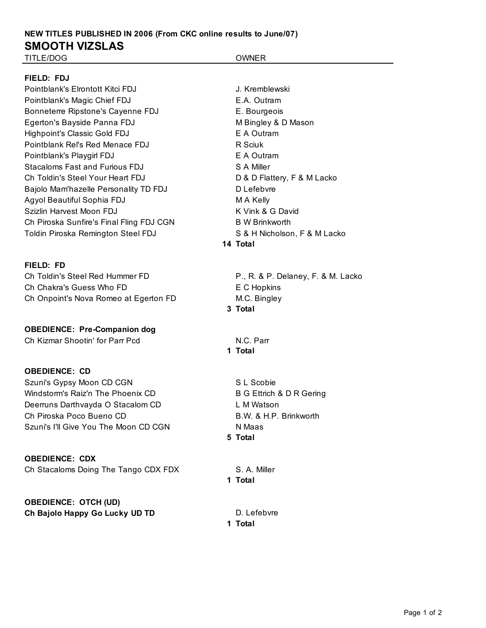# **NEW TITLES PUBLISHED IN 2006 (From CKC online results to June/07) SMOOTH VIZSLAS**

TITLE/DOG OWNER

# **FIELD: FDJ**

Pointblank's Elrontott Kitci FDJ J. Kremblewski Pointblank's Magic Chief FDJ **E.A. Outram** Bonneterre Ripstone's Cayenne FDJ E. Bourgeois Egerton's Bayside Panna FDJ M Bingley & D Mason Highpoint's Classic Gold FDJ **EXALL EXALL EXALL EXALL EXALL EXALL EXALL EXALL EXALL EXALL EXALL** Pointblank Rel's Red Menace FDJ R Sciuk Pointblank's Playgirl FDJ E A Outram Stacaloms Fast and Furious FDJ SAMiller Ch Toldin's Steel Your Heart FDJ D & D Flattery, F & M Lacko Bajolo Mam'hazelle Personality TD FDJ Duefebvre Agyol Beautiful Sophia FDJ M A Kelly Szizlin Harvest Moon FDJ K Vink & G David Ch Piroska Sunfire's Final Fling FDJ CGN B W Brinkworth Toldin Piroska Remington Steel FDJ S & H Nicholson, F & M Lacko

**FIELD: FD** Ch Toldin's Steel Red Hummer FD P., R. & P. Delaney, F. & M. Lacko Ch Chakra's Guess Who FD E C Hopkins Ch Onpoint's Nova Romeo at Egerton FD M.C. Bingley

**OBEDIENCE: Pre-Companion dog** Ch Kizmar Shootin' for Parr Pcd N.C. Parr

# **OBEDIENCE: CD**

Szuni's Gypsy Moon CD CGN SZUNIE S L Scobie Windstorm's Raiz'n The Phoenix CD B G Ettrich & D R Gering Deerruns Darthvayda O Stacalom CD L M Watson Ch Piroska Poco Bueno CD B.W. & H.P. Brinkworth Szuni's I'll Give You The Moon CD CGN Naas

**OBEDIENCE: CDX** Ch Stacaloms Doing The Tango CDX FDX S. A. Miller

**OBEDIENCE: OTCH (UD) Ch Bajolo Happy Go Lucky UD TD** D. Lefebvre

**14 Total**

**3 Total**

**1 Total**

**5 Total**

**1 Total**

**1 Total**